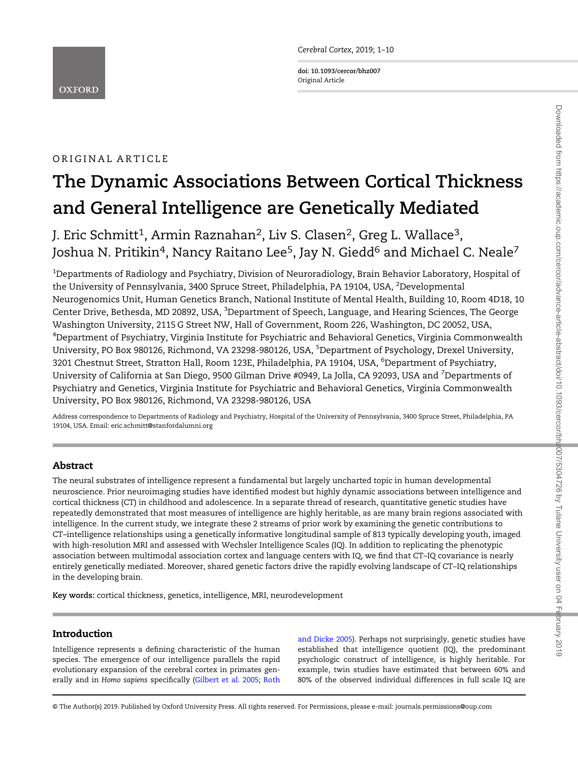Cerebral Cortex, 2019; 1–<sup>10</sup>

doi: 10.1093/cercor/bhz007 Original Article

# ORIGINAL ARTICLE

# The Dynamic Associations Between Cortical Thickness and General Intelligence are Genetically Mediated

J. Eric Schmitt<sup>1</sup>, Armin Raznahan<sup>2</sup>, Liv S. Clasen<sup>2</sup>, Greg L. Wallace<sup>3</sup>, Joshua N. Pritikin<sup>4</sup>, Nancy Raitano Lee<sup>5</sup>, Jay N. Giedd<sup>6</sup> and Michael C. Neale<sup>7</sup>

 $^{\rm 1}$ Departments of Radiology and Psychiatry, Division of Neuroradiology, Brain Behavior Laboratory, Hospital of the University of Pennsylvania, 3400 Spruce Street, Philadelphia, PA 19104, USA, <sup>2</sup>Developmental Neurogenomics Unit, Human Genetics Branch, National Institute of Mental Health, Building 10, Room 4D18, 10 Center Drive, Bethesda, MD 20892, USA, <sup>3</sup>Department of Speech, Language, and Hearing Sciences, The George Washington University, 2115 G Street NW, Hall of Government, Room 226, Washington, DC 20052, USA, 4 Department of Psychiatry, Virginia Institute for Psychiatric and Behavioral Genetics, Virginia Commonwealth University, PO Box 980126, Richmond, VA 23298-980126, USA, <sup>5</sup>Department of Psychology, Drexel University, 3201 Chestnut Street, Stratton Hall, Room 123E, Philadelphia, PA 19104, USA, <sup>6</sup>Department of Psychiatry, University of California at San Diego, 9500 Gilman Drive #0949, La Jolla, CA 92093, USA and <sup>7</sup>Departments of Psychiatry and Genetics, Virginia Institute for Psychiatric and Behavioral Genetics, Virginia Commonwealth University, PO Box 980126, Richmond, VA 23298-980126, USA

Address correspondence to Departments of Radiology and Psychiatry, Hospital of the University of Pennsylvania, 3400 Spruce Street, Philadelphia, PA 19104, USA. Email: eric.schmitt@stanfordalumni.org

## Abstract

The neural substrates of intelligence represent a fundamental but largely uncharted topic in human developmental neuroscience. Prior neuroimaging studies have identified modest but highly dynamic associations between intelligence and cortical thickness (CT) in childhood and adolescence. In a separate thread of research, quantitative genetic studies have repeatedly demonstrated that most measures of intelligence are highly heritable, as are many brain regions associated with intelligence. In the current study, we integrate these 2 streams of prior work by examining the genetic contributions to CT–intelligence relationships using a genetically informative longitudinal sample of 813 typically developing youth, imaged with high-resolution MRI and assessed with Wechsler Intelligence Scales (IQ). In addition to replicating the phenotypic association between multimodal association cortex and language centers with IQ, we find that CT–IQ covariance is nearly entirely genetically mediated. Moreover, shared genetic factors drive the rapidly evolving landscape of CT–IQ relationships in the developing brain.

Key words: cortical thickness, genetics, intelligence, MRI, neurodevelopment

## Introduction

Intelligence represents a defining characteristic of the human species. The emergence of our intelligence parallels the rapid evolutionary expansion of the cerebral cortex in primates generally and in Homo sapiens specifically [\(Gilbert et al. 2005;](#page-7-0) [Roth](#page-8-0)

[and Dicke 2005](#page-8-0)). Perhaps not surprisingly, genetic studies have established that intelligence quotient (IQ), the predominant psychologic construct of intelligence, is highly heritable. For example, twin studies have estimated that between 60% and 80% of the observed individual differences in full scale IQ are

© The Author(s) 2019. Published by Oxford University Press. All rights reserved. For Permissions, please e-mail: journals.permissions@oup.com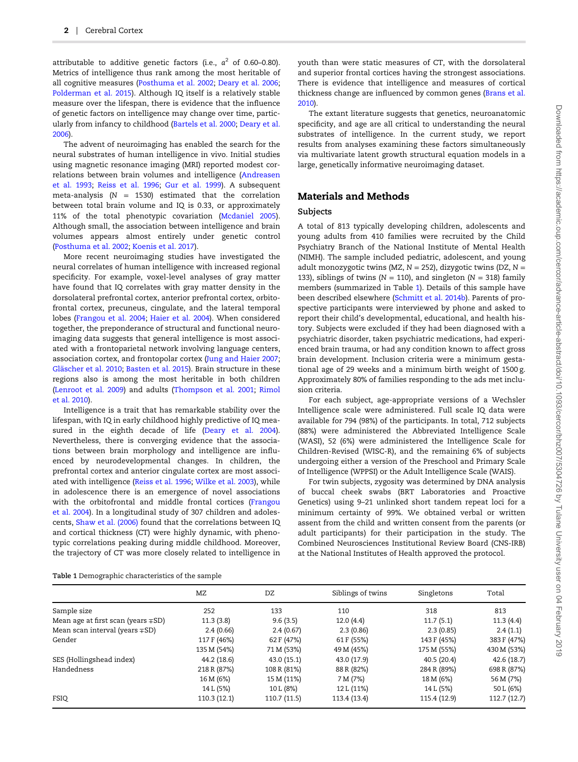attributable to additive genetic factors (i.e.,  $a^2$  of 0.60–0.80). Metrics of intelligence thus rank among the most heritable of all cognitive measures [\(Posthuma et al. 2002;](#page-8-0) [Deary et al. 2006;](#page-7-0) [Polderman et al. 2015](#page-8-0)). Although IQ itself is a relatively stable measure over the lifespan, there is evidence that the influence of genetic factors on intelligence may change over time, particularly from infancy to childhood [\(Bartels et al. 2000](#page-7-0); [Deary et al.](#page-7-0) [2006\)](#page-7-0).

The advent of neuroimaging has enabled the search for the neural substrates of human intelligence in vivo. Initial studies using magnetic resonance imaging (MRI) reported modest correlations between brain volumes and intelligence [\(Andreasen](#page-7-0) [et al. 1993](#page-7-0); [Reiss et al. 1996;](#page-8-0) [Gur et al. 1999\)](#page-7-0). A subsequent meta-analysis ( $N = 1530$ ) estimated that the correlation between total brain volume and IQ is 0.33, or approximately 11% of the total phenotypic covariation [\(Mcdaniel 2005\)](#page-8-0). Although small, the association between intelligence and brain volumes appears almost entirely under genetic control [\(Posthuma et al. 2002;](#page-8-0) [Koenis et al. 2017\)](#page-8-0).

More recent neuroimaging studies have investigated the neural correlates of human intelligence with increased regional specificity. For example, voxel-level analyses of gray matter have found that IQ correlates with gray matter density in the dorsolateral prefrontal cortex, anterior prefrontal cortex, orbitofrontal cortex, precuneus, cingulate, and the lateral temporal lobes [\(Frangou et al. 2004;](#page-7-0) [Haier et al. 2004](#page-7-0)). When considered together, the preponderance of structural and functional neuroimaging data suggests that general intelligence is most associated with a frontoparietal network involving language centers, association cortex, and frontopolar cortex [\(Jung and Haier 2007;](#page-8-0) [Gläscher et al. 2010](#page-7-0); [Basten et al. 2015\)](#page-7-0). Brain structure in these regions also is among the most heritable in both children [\(Lenroot et al. 2009](#page-8-0)) and adults ([Thompson et al. 2001](#page-9-0); [Rimol](#page-8-0) [et al. 2010](#page-8-0)).

Intelligence is a trait that has remarkable stability over the lifespan, with IQ in early childhood highly predictive of IQ measured in the eighth decade of life [\(Deary et al. 2004\)](#page-7-0). Nevertheless, there is converging evidence that the associations between brain morphology and intelligence are influenced by neurodevelopmental changes. In children, the prefrontal cortex and anterior cingulate cortex are most associated with intelligence ([Reiss et al. 1996](#page-8-0); [Wilke et al. 2003](#page-9-0)), while in adolescence there is an emergence of novel associations with the orbitofrontal and middle frontal cortices ([Frangou](#page-7-0) [et al. 2004\)](#page-7-0). In a longitudinal study of 307 children and adolescents, [Shaw et al. \(2006\)](#page-9-0) found that the correlations between IQ and cortical thickness (CT) were highly dynamic, with phenotypic correlations peaking during middle childhood. Moreover, the trajectory of CT was more closely related to intelligence in

youth than were static measures of CT, with the dorsolateral and superior frontal cortices having the strongest associations. There is evidence that intelligence and measures of cortical thickness change are influenced by common genes ([Brans et al.](#page-7-0) [2010\)](#page-7-0).

The extant literature suggests that genetics, neuroanatomic specificity, and age are all critical to understanding the neural substrates of intelligence. In the current study, we report results from analyses examining these factors simultaneously via multivariate latent growth structural equation models in a large, genetically informative neuroimaging dataset.

## Materials and Methods

## Subjects

A total of 813 typically developing children, adolescents and young adults from 410 families were recruited by the Child Psychiatry Branch of the National Institute of Mental Health (NIMH). The sample included pediatric, adolescent, and young adult monozygotic twins (MZ,  $N = 252$ ), dizygotic twins (DZ,  $N =$ 133), siblings of twins ( $N = 110$ ), and singleton ( $N = 318$ ) family members (summarized in Table 1). Details of this sample have been described elsewhere ([Schmitt et al. 2014b](#page-9-0)). Parents of prospective participants were interviewed by phone and asked to report their child's developmental, educational, and health history. Subjects were excluded if they had been diagnosed with a psychiatric disorder, taken psychiatric medications, had experienced brain trauma, or had any condition known to affect gross brain development. Inclusion criteria were a minimum gestational age of 29 weeks and a minimum birth weight of 1500 g. Approximately 80% of families responding to the ads met inclusion criteria.

For each subject, age-appropriate versions of a Wechsler Intelligence scale were administered. Full scale IQ data were available for 794 (98%) of the participants. In total, 712 subjects (88%) were administered the Abbreviated Intelligence Scale (WASI), 52 (6%) were administered the Intelligence Scale for Children-Revised (WISC-R), and the remaining 6% of subjects undergoing either a version of the Preschool and Primary Scale of Intelligence (WPPSI) or the Adult Intelligence Scale (WAIS).

For twin subjects, zygosity was determined by DNA analysis of buccal cheek swabs (BRT Laboratories and Proactive Genetics) using 9–21 unlinked short tandem repeat loci for a minimum certainty of 99%. We obtained verbal or written assent from the child and written consent from the parents (or adult participants) for their participation in the study. The Combined Neurosciences Institutional Review Board (CNS-IRB) at the National Institutes of Health approved the protocol.

|  | Table 1 Demographic characteristics of the sample |  |
|--|---------------------------------------------------|--|
|  |                                                   |  |

|                                          | MZ           | DZ           | Siblings of twins | Singletons   | Total       |
|------------------------------------------|--------------|--------------|-------------------|--------------|-------------|
| Sample size                              | 252          | 133          | 110               | 318          | 813         |
| Mean age at first scan (years $\mp SD$ ) | 11.3(3.8)    | 9.6(3.5)     | 12.0(4.4)         | 11.7(5.1)    | 11.3(4.4)   |
| Mean scan interval (years $\mp SD$ )     | 2.4(0.66)    | 2.4(0.67)    | 2.3(0.86)         | 2.3(0.85)    | 2.4(1.1)    |
| Gender                                   | 117 F (46%)  | 62 F (47%)   | 61 F (55%)        | 143 F (45%)  | 383 F (47%) |
|                                          | 135 M (54%)  | 71 M (53%)   | 49 M (45%)        | 175 M (55%)  | 430 M (53%) |
| SES (Hollingshead index)                 | 44.2 (18.6)  | 43.0(15.1)   | 43.0 (17.9)       | 40.5(20.4)   | 42.6 (18.7) |
| Handedness                               | 218 R (87%)  | 108 R (81%)  | 88 R (82%)        | 284 R (89%)  | 698 R (87%) |
|                                          | 16 M (6%)    | 15 M (11%)   | 7 M (7%)          | 18 M (6%)    | 56 M (7%)   |
|                                          | 14 L (5%)    | 10 L (8%)    | 12 L (11%)        | 14 L (5%)    | 50 L (6%)   |
| FSIQ                                     | 110.3 (12.1) | 110.7 (11.5) | 113.4 (13.4)      | 115.4 (12.9) | 112.7(12.7) |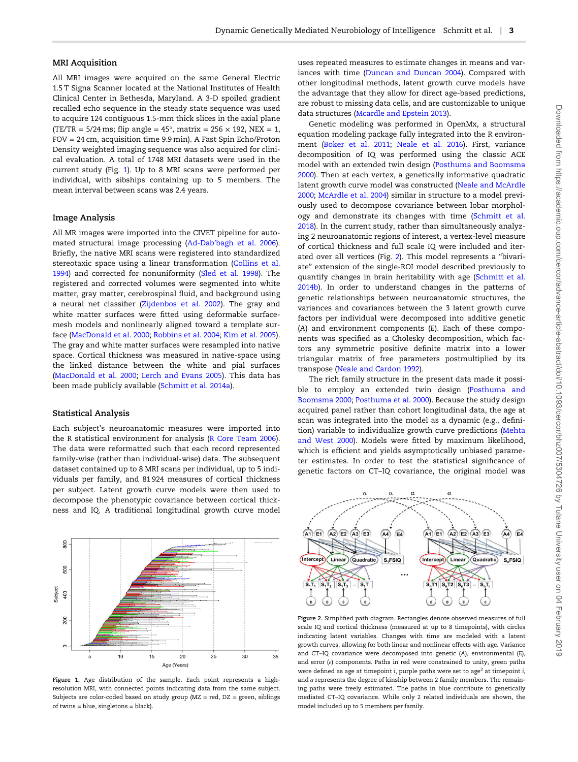#### MRI Acquisition

All MRI images were acquired on the same General Electric 1.5 T Signa Scanner located at the National Institutes of Health Clinical Center in Bethesda, Maryland. A 3-D spoiled gradient recalled echo sequence in the steady state sequence was used to acquire 124 contiguous 1.5-mm thick slices in the axial plane (TE/TR =  $5/24$  ms; flip angle =  $45^{\circ}$ , matrix =  $256 \times 192$ , NEX = 1, FOV = 24 cm, acquisition time 9.9 min). A Fast Spin Echo/Proton Density weighted imaging sequence was also acquired for clinical evaluation. A total of 1748 MRI datasets were used in the current study (Fig. 1). Up to 8 MRI scans were performed per individual, with sibships containing up to 5 members. The mean interval between scans was 2.4 years.

#### Image Analysis

All MR images were imported into the CIVET pipeline for automated structural image processing (Ad-Dab'[bagh et al. 2006\)](#page-7-0). Briefly, the native MRI scans were registered into standardized stereotaxic space using a linear transformation ([Collins et al.](#page-7-0) [1994\)](#page-7-0) and corrected for nonuniformity ([Sled et al. 1998\)](#page-9-0). The registered and corrected volumes were segmented into white matter, gray matter, cerebrospinal fluid, and background using a neural net classifier ([Zijdenbos et al. 2002\)](#page-9-0). The gray and white matter surfaces were fitted using deformable surfacemesh models and nonlinearly aligned toward a template surface [\(MacDonald et al. 2000;](#page-8-0) [Robbins et al. 2004;](#page-8-0) [Kim et al. 2005\)](#page-8-0). The gray and white matter surfaces were resampled into native space. Cortical thickness was measured in native-space using the linked distance between the white and pial surfaces [\(MacDonald et al. 2000](#page-8-0); [Lerch and Evans 2005](#page-8-0)). This data has been made publicly available ([Schmitt et al. 2014a\)](#page-8-0).

#### Statistical Analysis

Each subject's neuroanatomic measures were imported into the R statistical environment for analysis [\(R Core Team 2006\)](#page-8-0). The data were reformatted such that each record represented family-wise (rather than individual-wise) data. The subsequent dataset contained up to 8 MRI scans per individual, up to 5 individuals per family, and 81 924 measures of cortical thickness per subject. Latent growth curve models were then used to decompose the phenotypic covariance between cortical thickness and IQ. A traditional longitudinal growth curve model



Figure 1. Age distribution of the sample. Each point represents a highresolution MRI, with connected points indicating data from the same subject. Subjects are color-coded based on study group (MZ = red, DZ = green, siblings of twins = blue, singletons = black).

uses repeated measures to estimate changes in means and variances with time ([Duncan and Duncan 2004\)](#page-7-0). Compared with other longitudinal methods, latent growth curve models have the advantage that they allow for direct age-based predictions, are robust to missing data cells, and are customizable to unique data structures ([Mcardle and Epstein 2013](#page-8-0)).

Genetic modeling was performed in OpenMx, a structural equation modeling package fully integrated into the R environment ([Boker et al. 2011;](#page-7-0) [Neale et al. 2016\)](#page-8-0). First, variance decomposition of IQ was performed using the classic ACE model with an extended twin design [\(Posthuma and Boomsma](#page-8-0) [2000\)](#page-8-0). Then at each vertex, a genetically informative quadratic latent growth curve model was constructed [\(Neale and McArdle](#page-8-0) [2000;](#page-8-0) [McArdle et al. 2004](#page-8-0)) similar in structure to a model previously used to decompose covariance between lobar morphology and demonstrate its changes with time [\(Schmitt et al.](#page-8-0) [2018\)](#page-8-0). In the current study, rather than simultaneously analyzing 2 neuroanatomic regions of interest, a vertex-level measure of cortical thickness and full scale IQ were included and iterated over all vertices (Fig. 2). This model represents a "bivariate" extension of the single-ROI model described previously to quantify changes in brain heritability with age ([Schmitt et al.](#page-9-0) [2014b\)](#page-9-0). In order to understand changes in the patterns of genetic relationships between neuroanatomic structures, the variances and covariances between the 3 latent growth curve factors per individual were decomposed into additive genetic (A) and environment components (E). Each of these components was specified as a Cholesky decomposition, which factors any symmetric positive definite matrix into a lower triangular matrix of free parameters postmultiplied by its transpose ([Neale and Cardon 1992\)](#page-8-0).

The rich family structure in the present data made it possible to employ an extended twin design ([Posthuma and](#page-8-0) [Boomsma 2000](#page-8-0); [Posthuma et al. 2000](#page-8-0)). Because the study design acquired panel rather than cohort longitudinal data, the age at scan was integrated into the model as a dynamic (e.g., definition) variable to individualize growth curve predictions ([Mehta](#page-8-0) [and West 2000](#page-8-0)). Models were fitted by maximum likelihood, which is efficient and yields asymptotically unbiased parameter estimates. In order to test the statistical significance of genetic factors on CT–IQ covariance, the original model was



Figure 2. Simplified path diagram. Rectangles denote observed measures of full scale IQ and cortical thickness (measured at up to 8 timepoints), with circles indicating latent variables. Changes with time are modeled with a latent growth curves, allowing for both linear and nonlinear effects with age. Variance and CT–IQ covariance were decomposed into genetic (A), environmental (E), and error  $(e)$  components. Paths in red were constrained to unity, green paths were defined as age at timepoint i, purple paths were set to age<sup>2</sup> at timepoint i, and  $\alpha$  represents the degree of kinship between 2 family members. The remaining paths were freely estimated. The paths in blue contribute to genetically mediated CT–IQ covariance. While only 2 related individuals are shown, the model included up to 5 members per family.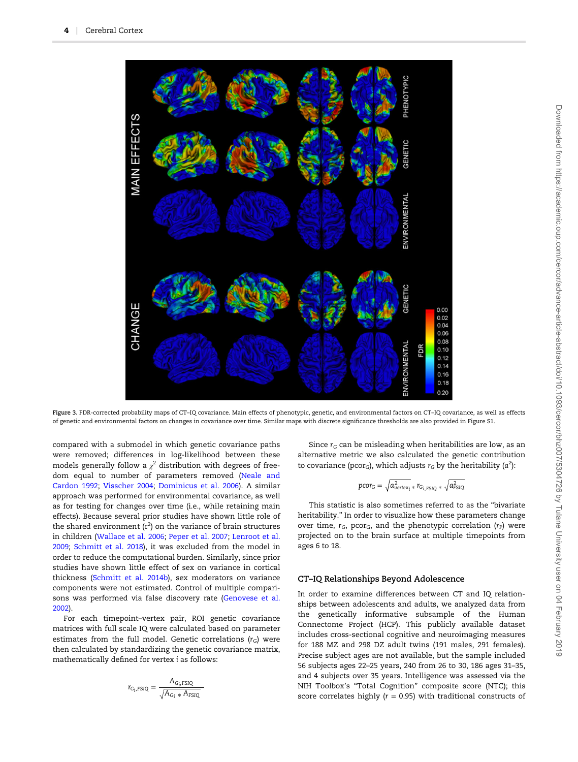<span id="page-3-0"></span>

Figure 3. FDR-corrected probability maps of CT–IQ covariance. Main effects of phenotypic, genetic, and environmental factors on CT–IQ covariance, as well as effects of genetic and environmental factors on changes in covariance over time. Similar maps with discrete significance thresholds are also provided in Figure S1.

compared with a submodel in which genetic covariance paths were removed; differences in log-likelihood between these models generally follow a  $\chi^2$  distribution with degrees of freedom equal to number of parameters removed ([Neale and](#page-8-0) [Cardon 1992;](#page-8-0) [Visscher 2004;](#page-9-0) [Dominicus et al. 2006](#page-7-0)). A similar approach was performed for environmental covariance, as well as for testing for changes over time (i.e., while retaining main effects). Because several prior studies have shown little role of the shared environment  $(c^2)$  on the variance of brain structures<br>in abildrep (Wallace at al. 2006; Paper at al. 2007; Laprest at al. in children [\(Wallace et al. 2006;](#page-9-0) [Peper et al. 2007](#page-8-0); [Lenroot et al.](#page-8-0) [2009;](#page-8-0) [Schmitt et al. 2018](#page-8-0)), it was excluded from the model in order to reduce the computational burden. Similarly, since prior studies have shown little effect of sex on variance in cortical thickness [\(Schmitt et al. 2014b\)](#page-9-0), sex moderators on variance components were not estimated. Control of multiple comparisons was performed via false discovery rate ([Genovese et al.](#page-7-0) [2002\)](#page-7-0).

For each timepoint–vertex pair, ROI genetic covariance matrices with full scale IQ were calculated based on parameter estimates from the full model. Genetic correlations  $(r_G)$  were then calculated by standardizing the genetic covariance matrix, mathematically defined for vertex i as follows:

$$
r_{G_i, FSIQ} = \frac{A_{G_i, FSIQ}}{\sqrt{A_{G_i} * A_{FSIQ}}}
$$

Since  $r_G$  can be misleading when heritabilities are low, as an alternative metric we also calculated the genetic contribution to covariance (pcor<sub>G</sub>), which adjusts  $r_{\text{G}}$  by the heritability (a<sup>2</sup>):

$$
pcor_G = \sqrt{a_{vertex_i}^2 * r_{G_{i, FSIQ}} * \sqrt{a_{FSIQ}^2}}
$$

This statistic is also sometimes referred to as the "bivariate heritability." In order to visualize how these parameters change over time,  $r_G$ , pcor<sub>G</sub>, and the phenotypic correlation  $(r_P)$  were projected on to the brain surface at multiple timepoints from ages 6 to 18.

## CT–IQ Relationships Beyond Adolescence

In order to examine differences between CT and IQ relationships between adolescents and adults, we analyzed data from the genetically informative subsample of the Human Connectome Project (HCP). This publicly available dataset includes cross-sectional cognitive and neuroimaging measures for 188 MZ and 298 DZ adult twins (191 males, 291 females). Precise subject ages are not available, but the sample included 56 subjects ages 22–25 years, 240 from 26 to 30, 186 ages 31–35, and 4 subjects over 35 years. Intelligence was assessed via the NIH Toolbox's "Total Cognition" composite score (NTC); this score correlates highly ( $r = 0.95$ ) with traditional constructs of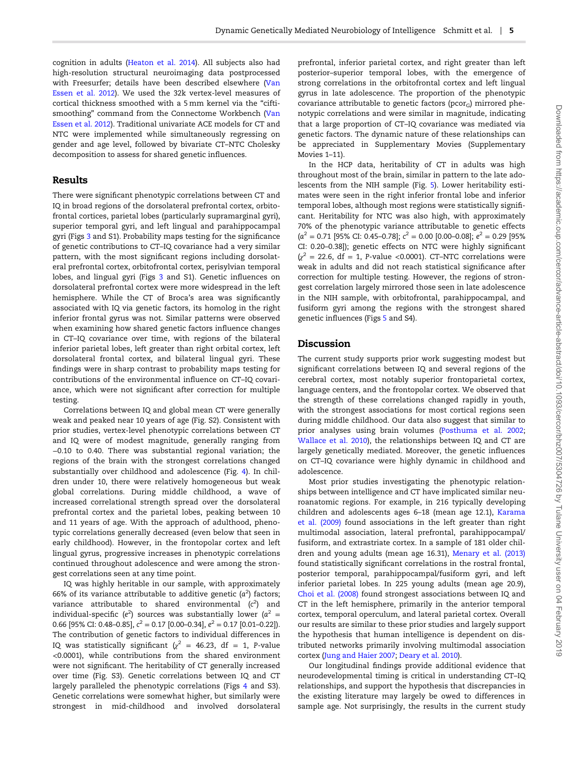cognition in adults [\(Heaton et al. 2014\)](#page-7-0). All subjects also had high-resolution structural neuroimaging data postprocessed with Freesurfer; details have been described elsewhere [\(Van](#page-9-0) [Essen et al. 2012](#page-9-0)). We used the 32k vertex-level measures of cortical thickness smoothed with a 5 mm kernel via the "ciftismoothing" command from the Connectome Workbench [\(Van](#page-9-0) [Essen et al. 2012\)](#page-9-0). Traditional univariate ACE models for CT and NTC were implemented while simultaneously regressing on gender and age level, followed by bivariate CT–NTC Cholesky decomposition to assess for shared genetic influences.

## Results

There were significant phenotypic correlations between CT and IQ in broad regions of the dorsolateral prefrontal cortex, orbitofrontal cortices, parietal lobes (particularly supramarginal gyri), superior temporal gyri, and left lingual and parahippocampal gyri (Figs [3](#page-3-0) and S1). Probability maps testing for the significance of genetic contributions to CT–IQ covariance had a very similar pattern, with the most significant regions including dorsolateral prefrontal cortex, orbitofrontal cortex, perisylvian temporal lobes, and lingual gyri (Figs [3](#page-3-0) and S1). Genetic influences on dorsolateral prefrontal cortex were more widespread in the left hemisphere. While the CT of Broca's area was significantly associated with IQ via genetic factors, its homolog in the right inferior frontal gyrus was not. Similar patterns were observed when examining how shared genetic factors influence changes in CT–IQ covariance over time, with regions of the bilateral inferior parietal lobes, left greater than right orbital cortex, left dorsolateral frontal cortex, and bilateral lingual gyri. These findings were in sharp contrast to probability maps testing for contributions of the environmental influence on CT–IQ covariance, which were not significant after correction for multiple testing.

Correlations between IQ and global mean CT were generally weak and peaked near 10 years of age (Fig. S2). Consistent with prior studies, vertex-level phenotypic correlations between CT and IQ were of modest magnitude, generally ranging from −0.10 to 0.40. There was substantial regional variation; the regions of the brain with the strongest correlations changed substantially over childhood and adolescence (Fig. [4\)](#page-5-0). In children under 10, there were relatively homogeneous but weak global correlations. During middle childhood, a wave of increased correlational strength spread over the dorsolateral prefrontal cortex and the parietal lobes, peaking between 10 and 11 years of age. With the approach of adulthood, phenotypic correlations generally decreased (even below that seen in early childhood). However, in the frontopolar cortex and left lingual gyrus, progressive increases in phenotypic correlations continued throughout adolescence and were among the strongest correlations seen at any time point.

IQ was highly heritable in our sample, with approximately 66% of its variance attributable to additive genetic  $(a^2)$  factors; variance attributable to shared environmental  $(c^2)$  and<br>individual energies  $(c^2)$  assumes we substantially layer  $(c^2)$ individual-specific  $(e^2)$  sources was substantially lower  $(a^2 = 0.6566662 \text{ GeV} \cdot \text{C} \cdot 10.0902 \cdot 10^{-2} \cdot 0.021 \cdot 10^{-2} \cdot 0.021 \cdot 0.021 \cdot 0.021 \cdot 0.021$ 0.66 [95% CI: 0.48–0.85],  $c^2 = 0.17$  [0.00–0.34],  $e^2 = 0.17$  [0.01–0.22]). The contribution of genetic factors to individual differences in IQ was statistically significant ( $\chi^2$  = 46.23, df = 1, P-value <0.0001), while contributions from the shared environment were not significant. The heritability of CT generally increased over time (Fig. S3). Genetic correlations between IQ and CT largely paralleled the phenotypic correlations (Figs [4](#page-5-0) and S3). Genetic correlations were somewhat higher, but similarly were strongest in mid-childhood and involved dorsolateral

prefrontal, inferior parietal cortex, and right greater than left posterior–superior temporal lobes, with the emergence of strong correlations in the orbitofrontal cortex and left lingual gyrus in late adolescence. The proportion of the phenotypic covariance attributable to genetic factors ( $pcor_G$ ) mirrored phenotypic correlations and were similar in magnitude, indicating that a large proportion of CT–IQ covariance was mediated via genetic factors. The dynamic nature of these relationships can be appreciated in Supplementary Movies (Supplementary Movies 1–11).

In the HCP data, heritability of CT in adults was high throughout most of the brain, similar in pattern to the late adolescents from the NIH sample (Fig. [5](#page-6-0)). Lower heritability estimates were seen in the right inferior frontal lobe and inferior temporal lobes, although most regions were statistically significant. Heritability for NTC was also high, with approximately 70% of the phenotypic variance attributable to genetic effects  $(a^2 = 0.71$  [95% CI: 0.45–0.78];  $c^2 = 0.00$  [0.00–0.08];  $e^2 = 0.29$  [95%<br>CL 0.30, 0.38)), sanatis effects an NTC wave highly simifespt CI: 0.20–0.38]); genetic effects on NTC were highly significant  $(y^2 = 22.6, df = 1, P-value < 0.0001$ ). CT-NTC correlations were weak in adults and did not reach statistical significance after correction for multiple testing. However, the regions of strongest correlation largely mirrored those seen in late adolescence in the NIH sample, with orbitofrontal, parahippocampal, and fusiform gyri among the regions with the strongest shared genetic influences (Figs [5](#page-6-0) and S4).

## Discussion

The current study supports prior work suggesting modest but significant correlations between IQ and several regions of the cerebral cortex, most notably superior frontoparietal cortex, language centers, and the frontopolar cortex. We observed that the strength of these correlations changed rapidly in youth, with the strongest associations for most cortical regions seen during middle childhood. Our data also suggest that similar to prior analyses using brain volumes ([Posthuma et al. 2002;](#page-8-0) [Wallace et al. 2010](#page-9-0)), the relationships between IQ and CT are largely genetically mediated. Moreover, the genetic influences on CT–IQ covariance were highly dynamic in childhood and adolescence.

Most prior studies investigating the phenotypic relationships between intelligence and CT have implicated similar neuroanatomic regions. For example, in 216 typically developing children and adolescents ages 6–18 (mean age 12.1), [Karama](#page-8-0) [et al. \(2009\)](#page-8-0) found associations in the left greater than right multimodal association, lateral prefrontal, parahippocampal/ fusiform, and extrastriate cortex. In a sample of 181 older children and young adults (mean age 16.31), [Menary et al. \(2013\)](#page-8-0) found statistically significant correlations in the rostral frontal, posterior temporal, parahippocampal/fusiform gyri, and left inferior parietal lobes. In 225 young adults (mean age 20.9), [Choi et al. \(2008\)](#page-7-0) found strongest associations between IQ and CT in the left hemisphere, primarily in the anterior temporal cortex, temporal operculum, and lateral parietal cortex. Overall our results are similar to these prior studies and largely support the hypothesis that human intelligence is dependent on distributed networks primarily involving multimodal association cortex [\(Jung and Haier 2007](#page-8-0); [Deary et al. 2010](#page-7-0)).

Our longitudinal findings provide additional evidence that neurodevelopmental timing is critical in understanding CT–IQ relationships, and support the hypothesis that discrepancies in the existing literature may largely be owed to differences in sample age. Not surprisingly, the results in the current study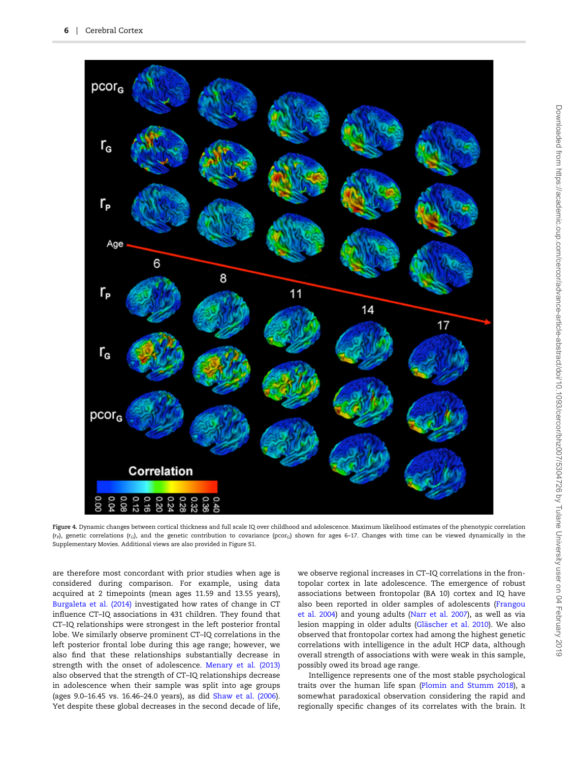<span id="page-5-0"></span>

Figure 4. Dynamic changes between cortical thickness and full scale IQ over childhood and adolescence. Maximum likelihood estimates of the phenotypic correlation  $(r_P)$ , genetic correlations (rc), and the genetic contribution to covariance (pcorc) shown for ages 6-17. Changes with time can be viewed dynamically in the Supplementary Movies. Additional views are also provided in Figure S1.

are therefore most concordant with prior studies when age is considered during comparison. For example, using data acquired at 2 timepoints (mean ages 11.59 and 13.55 years), [Burgaleta et al. \(2014\)](#page-7-0) investigated how rates of change in CT influence CT–IQ associations in 431 children. They found that CT–IQ relationships were strongest in the left posterior frontal lobe. We similarly observe prominent CT–IQ correlations in the left posterior frontal lobe during this age range; however, we also find that these relationships substantially decrease in strength with the onset of adolescence. [Menary et al. \(2013\)](#page-8-0) also observed that the strength of CT–IQ relationships decrease in adolescence when their sample was split into age groups (ages 9.0–16.45 vs. 16.46–24.0 years), as did [Shaw et al. \(2006\)](#page-9-0). Yet despite these global decreases in the second decade of life,

we observe regional increases in CT–IQ correlations in the frontopolar cortex in late adolescence. The emergence of robust associations between frontopolar (BA 10) cortex and IQ have also been reported in older samples of adolescents ([Frangou](#page-7-0) [et al. 2004\)](#page-7-0) and young adults ([Narr et al. 2007](#page-8-0)), as well as via lesion mapping in older adults [\(Gläscher et al. 2010](#page-7-0)). We also observed that frontopolar cortex had among the highest genetic correlations with intelligence in the adult HCP data, although overall strength of associations with were weak in this sample, possibly owed its broad age range.

Intelligence represents one of the most stable psychological traits over the human life span [\(Plomin and Stumm 2018\)](#page-8-0), a somewhat paradoxical observation considering the rapid and regionally specific changes of its correlates with the brain. It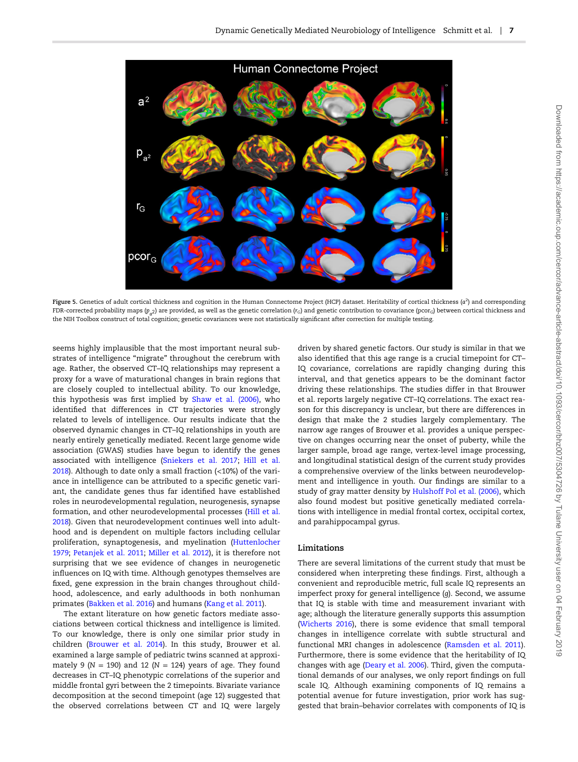<span id="page-6-0"></span>

Figure 5. Genetics of adult cortical thickness and cognition in the Human Connectome Project (HCP) dataset. Heritability of cortical thickness (a<sup>2</sup> ) and corresponding FDR-corrected probability maps ( $p_a$ <sub>2</sub>) are provided, as well as the genetic correlation ( $r_c$ ) and genetic contribution to covariance (pcor<sub>G</sub>) between cortical thickness and the NIH Toolbox construct of total cognition; genetic covariances were not statistically significant after correction for multiple testing.

seems highly implausible that the most important neural substrates of intelligence "migrate" throughout the cerebrum with age. Rather, the observed CT–IQ relationships may represent a proxy for a wave of maturational changes in brain regions that are closely coupled to intellectual ability. To our knowledge, this hypothesis was first implied by [Shaw et al. \(2006\)](#page-9-0), who identified that differences in CT trajectories were strongly related to levels of intelligence. Our results indicate that the observed dynamic changes in CT–IQ relationships in youth are nearly entirely genetically mediated. Recent large genome wide association (GWAS) studies have begun to identify the genes associated with intelligence [\(Sniekers et al. 2017](#page-9-0); [Hill et al.](#page-7-0) [2018\)](#page-7-0). Although to date only a small fraction (<10%) of the variance in intelligence can be attributed to a specific genetic variant, the candidate genes thus far identified have established roles in neurodevelopmental regulation, neurogenesis, synapse formation, and other neurodevelopmental processes [\(Hill et al.](#page-7-0) [2018\)](#page-7-0). Given that neurodevelopment continues well into adulthood and is dependent on multiple factors including cellular proliferation, synaptogenesis, and myelination ([Huttenlocher](#page-8-0) [1979;](#page-8-0) [Petanjek et al. 2011;](#page-8-0) [Miller et al. 2012\)](#page-8-0), it is therefore not surprising that we see evidence of changes in neurogenetic influences on IQ with time. Although genotypes themselves are fixed, gene expression in the brain changes throughout childhood, adolescence, and early adulthoods in both nonhuman primates [\(Bakken et al. 2016\)](#page-7-0) and humans [\(Kang et al. 2011](#page-8-0)).

The extant literature on how genetic factors mediate associations between cortical thickness and intelligence is limited. To our knowledge, there is only one similar prior study in children [\(Brouwer et al. 2014](#page-7-0)). In this study, Brouwer et al. examined a large sample of pediatric twins scanned at approximately 9 ( $N = 190$ ) and 12 ( $N = 124$ ) years of age. They found decreases in CT–IQ phenotypic correlations of the superior and middle frontal gyri between the 2 timepoints. Bivariate variance decomposition at the second timepoint (age 12) suggested that the observed correlations between CT and IQ were largely

driven by shared genetic factors. Our study is similar in that we also identified that this age range is a crucial timepoint for CT– IQ covariance, correlations are rapidly changing during this interval, and that genetics appears to be the dominant factor driving these relationships. The studies differ in that Brouwer et al. reports largely negative CT–IQ correlations. The exact reason for this discrepancy is unclear, but there are differences in design that make the 2 studies largely complementary. The narrow age ranges of Brouwer et al. provides a unique perspective on changes occurring near the onset of puberty, while the larger sample, broad age range, vertex-level image processing, and longitudinal statistical design of the current study provides a comprehensive overview of the links between neurodevelopment and intelligence in youth. Our findings are similar to a study of gray matter density by [Hulshoff Pol et al. \(2006\),](#page-8-0) which also found modest but positive genetically mediated correlations with intelligence in medial frontal cortex, occipital cortex, and parahippocampal gyrus.

#### Limitations

There are several limitations of the current study that must be considered when interpreting these findings. First, although a convenient and reproducible metric, full scale IQ represents an imperfect proxy for general intelligence (g). Second, we assume that IQ is stable with time and measurement invariant with age; although the literature generally supports this assumption [\(Wicherts 2016\)](#page-9-0), there is some evidence that small temporal changes in intelligence correlate with subtle structural and functional MRI changes in adolescence [\(Ramsden et al. 2011\)](#page-8-0). Furthermore, there is some evidence that the heritability of IQ changes with age [\(Deary et al. 2006](#page-7-0)). Third, given the computational demands of our analyses, we only report findings on full scale IQ. Although examining components of IQ remains a potential avenue for future investigation, prior work has suggested that brain–behavior correlates with components of IQ is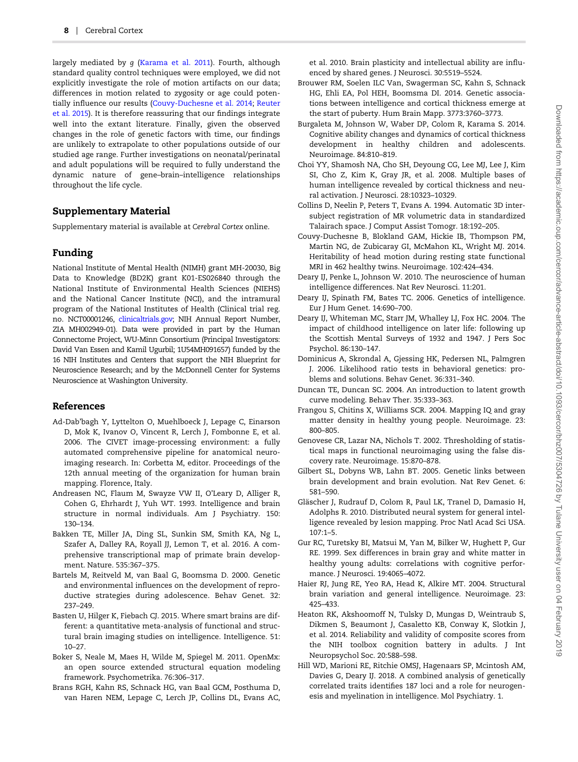<span id="page-7-0"></span>largely mediated by g ([Karama et al. 2011](#page-8-0)). Fourth, although standard quality control techniques were employed, we did not explicitly investigate the role of motion artifacts on our data; differences in motion related to zygosity or age could potentially influence our results (Couvy-Duchesne et al. 2014; [Reuter](#page-8-0) [et al. 2015\)](#page-8-0). It is therefore reassuring that our findings integrate well into the extant literature. Finally, given the observed changes in the role of genetic factors with time, our findings are unlikely to extrapolate to other populations outside of our studied age range. Further investigations on neonatal/perinatal and adult populations will be required to fully understand the dynamic nature of gene–brain–intelligence relationships throughout the life cycle.

## Supplementary Material

Supplementary material is available at Cerebral Cortex online.

## Funding

National Institute of Mental Health (NIMH) grant MH-20030, Big Data to Knowledge (BD2K) grant K01-ES026840 through the National Institute of Environmental Health Sciences (NIEHS) and the National Cancer Institute (NCI), and the intramural program of the National Institutes of Health (Clinical trial reg. no. NCT00001246, [clinicaltrials.gov](http://clinicaltrials.gov); NIH Annual Report Number, ZIA MH002949-01). Data were provided in part by the Human Connectome Project, WU-Minn Consortium (Principal Investigators: David Van Essen and Kamil Ugurbil; 1U54MH091657) funded by the 16 NIH Institutes and Centers that support the NIH Blueprint for Neuroscience Research; and by the McDonnell Center for Systems Neuroscience at Washington University.

## References

- Ad-Dab'bagh Y, Lyttelton O, Muehlboeck J, Lepage C, Einarson D, Mok K, Ivanov O, Vincent R, Lerch J, Fombonne E, et al. 2006. The CIVET image-processing environment: a fully automated comprehensive pipeline for anatomical neuroimaging research. In: Corbetta M, editor. Proceedings of the 12th annual meeting of the organization for human brain mapping. Florence, Italy.
- Andreasen NC, Flaum M, Swayze VW II, O'Leary D, Alliger R, Cohen G, Ehrhardt J, Yuh WT. 1993. Intelligence and brain structure in normal individuals. Am J Psychiatry. 150: 130–134.
- Bakken TE, Miller JA, Ding SL, Sunkin SM, Smith KA, Ng L, Szafer A, Dalley RA, Royall JJ, Lemon T, et al. 2016. A comprehensive transcriptional map of primate brain development. Nature. 535:367–375.
- Bartels M, Reitveld M, van Baal G, Boomsma D. 2000. Genetic and environmental influences on the development of reproductive strategies during adolescence. Behav Genet. 32: 237–249.
- Basten U, Hilger K, Fiebach CJ. 2015. Where smart brains are different: a quantitative meta-analysis of functional and structural brain imaging studies on intelligence. Intelligence. 51: 10–27.
- Boker S, Neale M, Maes H, Wilde M, Spiegel M. 2011. OpenMx: an open source extended structural equation modeling framework. Psychometrika. 76:306–317.
- Brans RGH, Kahn RS, Schnack HG, van Baal GCM, Posthuma D, van Haren NEM, Lepage C, Lerch JP, Collins DL, Evans AC,

et al. 2010. Brain plasticity and intellectual ability are influenced by shared genes. J Neurosci. 30:5519–5524.

- Brouwer RM, Soelen ILC Van, Swagerman SC, Kahn S, Schnack HG, Ehli EA, Pol HEH, Boomsma DI. 2014. Genetic associations between intelligence and cortical thickness emerge at the start of puberty. Hum Brain Mapp. 3773:3760–3773.
- Burgaleta M, Johnson W, Waber DP, Colom R, Karama S. 2014. Cognitive ability changes and dynamics of cortical thickness development in healthy children and adolescents. Neuroimage. 84:810–819.
- Choi YY, Shamosh NA, Cho SH, Deyoung CG, Lee MJ, Lee J, Kim SI, Cho Z, Kim K, Gray JR, et al. 2008. Multiple bases of human intelligence revealed by cortical thickness and neural activation. J Neurosci. 28:10323–10329.
- Collins D, Neelin P, Peters T, Evans A. 1994. Automatic 3D intersubject registration of MR volumetric data in standardized Talairach space. J Comput Assist Tomogr. 18:192–205.
- Couvy-Duchesne B, Blokland GAM, Hickie IB, Thompson PM, Martin NG, de Zubicaray GI, McMahon KL, Wright MJ. 2014. Heritability of head motion during resting state functional MRI in 462 healthy twins. Neuroimage. 102:424–434.
- Deary IJ, Penke L, Johnson W. 2010. The neuroscience of human intelligence differences. Nat Rev Neurosci. 11:201.
- Deary IJ, Spinath FM, Bates TC. 2006. Genetics of intelligence. Eur J Hum Genet. 14:690–700.
- Deary IJ, Whiteman MC, Starr JM, Whalley LJ, Fox HC. 2004. The impact of childhood intelligence on later life: following up the Scottish Mental Surveys of 1932 and 1947. J Pers Soc Psychol. 86:130–147.
- Dominicus A, Skrondal A, Gjessing HK, Pedersen NL, Palmgren J. 2006. Likelihood ratio tests in behavioral genetics: problems and solutions. Behav Genet. 36:331–340.
- Duncan TE, Duncan SC. 2004. An introduction to latent growth curve modeling. Behav Ther. 35:333–363.
- Frangou S, Chitins X, Williams SCR. 2004. Mapping IQ and gray matter density in healthy young people. Neuroimage. 23: 800–805.
- Genovese CR, Lazar NA, Nichols T. 2002. Thresholding of statistical maps in functional neuroimaging using the false discovery rate. Neuroimage. 15:870–878.
- Gilbert SL, Dobyns WB, Lahn BT. 2005. Genetic links between brain development and brain evolution. Nat Rev Genet. 6: 581–590.
- Gläscher J, Rudrauf D, Colom R, Paul LK, Tranel D, Damasio H, Adolphs R. 2010. Distributed neural system for general intelligence revealed by lesion mapping. Proc Natl Acad Sci USA. 107:1–5.
- Gur RC, Turetsky BI, Matsui M, Yan M, Bilker W, Hughett P, Gur RE. 1999. Sex differences in brain gray and white matter in healthy young adults: correlations with cognitive performance. J Neurosci. 19:4065–4072.
- Haier RJ, Jung RE, Yeo RA, Head K, Alkire MT. 2004. Structural brain variation and general intelligence. Neuroimage. 23: 425–433.
- Heaton RK, Akshoomoff N, Tulsky D, Mungas D, Weintraub S, Dikmen S, Beaumont J, Casaletto KB, Conway K, Slotkin J, et al. 2014. Reliability and validity of composite scores from the NIH toolbox cognition battery in adults. J Int Neuropsychol Soc. 20:588–598.
- Hill WD, Marioni RE, Ritchie OMSJ, Hagenaars SP, Mcintosh AM, Davies G, Deary IJ. 2018. A combined analysis of genetically correlated traits identifies 187 loci and a role for neurogenesis and myelination in intelligence. Mol Psychiatry. 1.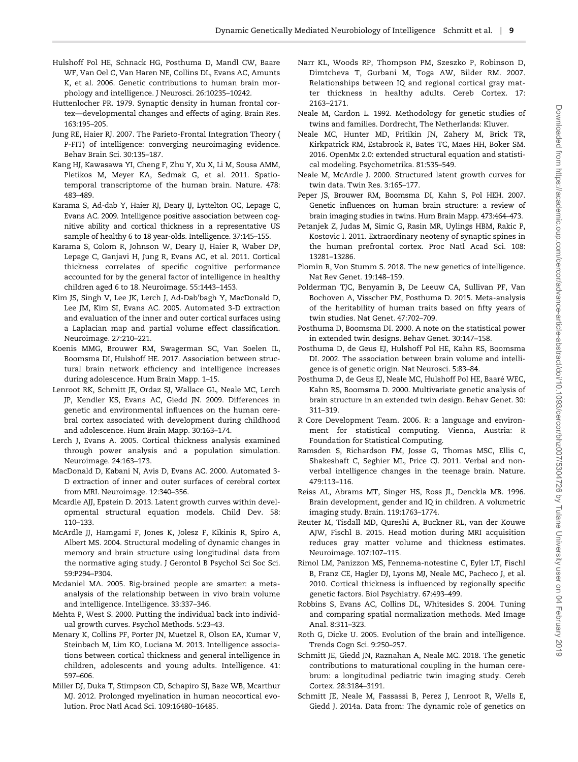- <span id="page-8-0"></span>Hulshoff Pol HE, Schnack HG, Posthuma D, Mandl CW, Baare WF, Van Oel C, Van Haren NE, Collins DL, Evans AC, Amunts K, et al. 2006. Genetic contributions to human brain morphology and intelligence. J Neurosci. 26:10235–10242.
- Huttenlocher PR. 1979. Synaptic density in human frontal cortex—developmental changes and effects of aging. Brain Res. 163:195–205.
- Jung RE, Haier RJ. 2007. The Parieto-Frontal Integration Theory ( P-FIT) of intelligence: converging neuroimaging evidence. Behav Brain Sci. 30:135–187.
- Kang HJ, Kawasawa YI, Cheng F, Zhu Y, Xu X, Li M, Sousa AMM, Pletikos M, Meyer KA, Sedmak G, et al. 2011. Spatiotemporal transcriptome of the human brain. Nature. 478: 483–489.
- Karama S, Ad-dab Y, Haier RJ, Deary IJ, Lyttelton OC, Lepage C, Evans AC. 2009. Intelligence positive association between cognitive ability and cortical thickness in a representative US sample of healthy 6 to 18 year-olds. Intelligence. 37:145–155.
- Karama S, Colom R, Johnson W, Deary IJ, Haier R, Waber DP, Lepage C, Ganjavi H, Jung R, Evans AC, et al. 2011. Cortical thickness correlates of specific cognitive performance accounted for by the general factor of intelligence in healthy children aged 6 to 18. Neuroimage. 55:1443–1453.
- Kim JS, Singh V, Lee JK, Lerch J, Ad-Dab'bagh Y, MacDonald D, Lee JM, Kim SI, Evans AC. 2005. Automated 3-D extraction and evaluation of the inner and outer cortical surfaces using a Laplacian map and partial volume effect classification. Neuroimage. 27:210–221.
- Koenis MMG, Brouwer RM, Swagerman SC, Van Soelen IL, Boomsma DI, Hulshoff HE. 2017. Association between structural brain network efficiency and intelligence increases during adolescence. Hum Brain Mapp. 1–15.
- Lenroot RK, Schmitt JE, Ordaz SJ, Wallace GL, Neale MC, Lerch JP, Kendler KS, Evans AC, Giedd JN. 2009. Differences in genetic and environmental influences on the human cerebral cortex associated with development during childhood and adolescence. Hum Brain Mapp. 30:163–174.
- Lerch J, Evans A. 2005. Cortical thickness analysis examined through power analysis and a population simulation. Neuroimage. 24:163–173.
- MacDonald D, Kabani N, Avis D, Evans AC. 2000. Automated 3- D extraction of inner and outer surfaces of cerebral cortex from MRI. Neuroimage. 12:340–356.
- Mcardle AJJ, Epstein D. 2013. Latent growth curves within developmental structural equation models. Child Dev. 58: 110–133.
- McArdle JJ, Hamgami F, Jones K, Jolesz F, Kikinis R, Spiro A, Albert MS. 2004. Structural modeling of dynamic changes in memory and brain structure using longitudinal data from the normative aging study. J Gerontol B Psychol Sci Soc Sci. 59:P294–P304.
- Mcdaniel MA. 2005. Big-brained people are smarter: a metaanalysis of the relationship between in vivo brain volume and intelligence. Intelligence. 33:337–346.
- Mehta P, West S. 2000. Putting the individual back into individual growth curves. Psychol Methods. 5:23–43.
- Menary K, Collins PF, Porter JN, Muetzel R, Olson EA, Kumar V, Steinbach M, Lim KO, Luciana M. 2013. Intelligence associations between cortical thickness and general intelligence in children, adolescents and young adults. Intelligence. 41: 597–606.
- Miller DJ, Duka T, Stimpson CD, Schapiro SJ, Baze WB, Mcarthur MJ. 2012. Prolonged myelination in human neocortical evolution. Proc Natl Acad Sci. 109:16480–16485.
- Narr KL, Woods RP, Thompson PM, Szeszko P, Robinson D, Dimtcheva T, Gurbani M, Toga AW, Bilder RM. 2007. Relationships between IQ and regional cortical gray matter thickness in healthy adults. Cereb Cortex. 17: 2163–2171.
- Neale M, Cardon L. 1992. Methodology for genetic studies of twins and families. Dordrecht, The Netherlands: Kluver.
- Neale MC, Hunter MD, Pritikin JN, Zahery M, Brick TR, Kirkpatrick RM, Estabrook R, Bates TC, Maes HH, Boker SM. 2016. OpenMx 2.0: extended structural equation and statistical modeling. Psychometrika. 81:535–549.
- Neale M, McArdle J. 2000. Structured latent growth curves for twin data. Twin Res. 3:165–177.
- Peper JS, Brouwer RM, Boomsma DI, Kahn S, Pol HEH. 2007. Genetic influences on human brain structure: a review of brain imaging studies in twins. Hum Brain Mapp. 473:464–473.
- Petanjek Z, Judas M, Simic G, Rasin MR, Uylings HBM, Rakic P, Kostovic I. 2011. Extraordinary neoteny of synaptic spines in the human prefrontal cortex. Proc Natl Acad Sci. 108: 13281–13286.
- Plomin R, Von Stumm S. 2018. The new genetics of intelligence. Nat Rev Genet. 19:148–159.
- Polderman TJC, Benyamin B, De Leeuw CA, Sullivan PF, Van Bochoven A, Visscher PM, Posthuma D. 2015. Meta-analysis of the heritability of human traits based on fifty years of twin studies. Nat Genet. 47:702–709.
- Posthuma D, Boomsma DI. 2000. A note on the statistical power in extended twin designs. Behav Genet. 30:147–158.
- Posthuma D, de Geus EJ, Hulshoff Pol HE, Kahn RS, Boomsma DI. 2002. The association between brain volume and intelligence is of genetic origin. Nat Neurosci. 5:83–84.
- Posthuma D, de Geus EJ, Neale MC, Hulshoff Pol HE, Baaré WEC, Kahn RS, Boomsma D. 2000. Multivariate genetic analysis of brain structure in an extended twin design. Behav Genet. 30: 311–319.
- R Core Development Team. 2006. R: a language and environment for statistical computing. Vienna, Austria: R Foundation for Statistical Computing.
- Ramsden S, Richardson FM, Josse G, Thomas MSC, Ellis C, Shakeshaft C, Seghier ML, Price CJ. 2011. Verbal and nonverbal intelligence changes in the teenage brain. Nature. 479:113–116.
- Reiss AL, Abrams MT, Singer HS, Ross JL, Denckla MB. 1996. Brain development, gender and IQ in children. A volumetric imaging study. Brain. 119:1763–1774.
- Reuter M, Tisdall MD, Qureshi A, Buckner RL, van der Kouwe AJW, Fischl B. 2015. Head motion during MRI acquisition reduces gray matter volume and thickness estimates. Neuroimage. 107:107–115.
- Rimol LM, Panizzon MS, Fennema-notestine C, Eyler LT, Fischl B, Franz CE, Hagler DJ, Lyons MJ, Neale MC, Pacheco J, et al. 2010. Cortical thickness is influenced by regionally specific genetic factors. Biol Psychiatry. 67:493–499.
- Robbins S, Evans AC, Collins DL, Whitesides S. 2004. Tuning and comparing spatial normalization methods. Med Image Anal. 8:311–323.
- Roth G, Dicke U. 2005. Evolution of the brain and intelligence. Trends Cogn Sci. 9:250–257.
- Schmitt JE, Giedd JN, Raznahan A, Neale MC. 2018. The genetic contributions to maturational coupling in the human cerebrum: a longitudinal pediatric twin imaging study. Cereb Cortex. 28:3184–3191.
- Schmitt JE, Neale M, Fassassi B, Perez J, Lenroot R, Wells E, Giedd J. 2014a. Data from: The dynamic role of genetics on